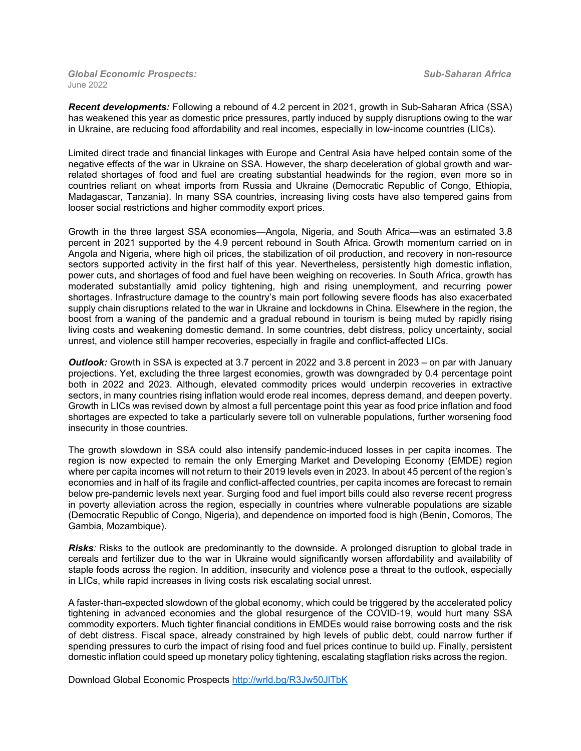*Global Economic Prospects: Sub-Saharan Africa*  June 2022

*Recent developments:* Following a rebound of 4.2 percent in 2021, growth in Sub-Saharan Africa (SSA) has weakened this year as domestic price pressures, partly induced by supply disruptions owing to the war in Ukraine, are reducing food affordability and real incomes, especially in low-income countries (LICs).

Limited direct trade and financial linkages with Europe and Central Asia have helped contain some of the negative effects of the war in Ukraine on SSA. However, the sharp deceleration of global growth and warrelated shortages of food and fuel are creating substantial headwinds for the region, even more so in countries reliant on wheat imports from Russia and Ukraine (Democratic Republic of Congo, Ethiopia, Madagascar, Tanzania). In many SSA countries, increasing living costs have also tempered gains from looser social restrictions and higher commodity export prices.

Growth in the three largest SSA economies—Angola, Nigeria, and South Africa—was an estimated 3.8 percent in 2021 supported by the 4.9 percent rebound in South Africa. Growth momentum carried on in Angola and Nigeria, where high oil prices, the stabilization of oil production, and recovery in non-resource sectors supported activity in the first half of this year. Nevertheless, persistently high domestic inflation, power cuts, and shortages of food and fuel have been weighing on recoveries. In South Africa, growth has moderated substantially amid policy tightening, high and rising unemployment, and recurring power shortages. Infrastructure damage to the country's main port following severe floods has also exacerbated supply chain disruptions related to the war in Ukraine and lockdowns in China. Elsewhere in the region, the boost from a waning of the pandemic and a gradual rebound in tourism is being muted by rapidly rising living costs and weakening domestic demand. In some countries, debt distress, policy uncertainty, social unrest, and violence still hamper recoveries, especially in fragile and conflict-affected LICs.

*Outlook:* Growth in SSA is expected at 3.7 percent in 2022 and 3.8 percent in 2023 – on par with January projections. Yet, excluding the three largest economies, growth was downgraded by 0.4 percentage point both in 2022 and 2023. Although, elevated commodity prices would underpin recoveries in extractive sectors, in many countries rising inflation would erode real incomes, depress demand, and deepen poverty. Growth in LICs was revised down by almost a full percentage point this year as food price inflation and food shortages are expected to take a particularly severe toll on vulnerable populations, further worsening food insecurity in those countries.

The growth slowdown in SSA could also intensify pandemic-induced losses in per capita incomes. The region is now expected to remain the only Emerging Market and Developing Economy (EMDE) region where per capita incomes will not return to their 2019 levels even in 2023. In about 45 percent of the region's economies and in half of its fragile and conflict-affected countries, per capita incomes are forecast to remain below pre-pandemic levels next year. Surging food and fuel import bills could also reverse recent progress in poverty alleviation across the region, especially in countries where vulnerable populations are sizable (Democratic Republic of Congo, Nigeria), and dependence on imported food is high (Benin, Comoros, The Gambia, Mozambique).

*Risks*: Risks to the outlook are predominantly to the downside. A prolonged disruption to global trade in cereals and fertilizer due to the war in Ukraine would significantly worsen affordability and availability of staple foods across the region. In addition, insecurity and violence pose a threat to the outlook, especially in LICs, while rapid increases in living costs risk escalating social unrest.

A faster-than-expected slowdown of the global economy, which could be triggered by the accelerated policy tightening in advanced economies and the global resurgence of the COVID-19, would hurt many SSA commodity exporters. Much tighter financial conditions in EMDEs would raise borrowing costs and the risk of debt distress. Fiscal space, already constrained by high levels of public debt, could narrow further if spending pressures to curb the impact of rising food and fuel prices continue to build up. Finally, persistent domestic inflation could speed up monetary policy tightening, escalating stagflation risks across the region.

Download Global Economic Prospects <http://wrld.bg/R3Jw50JlTbK>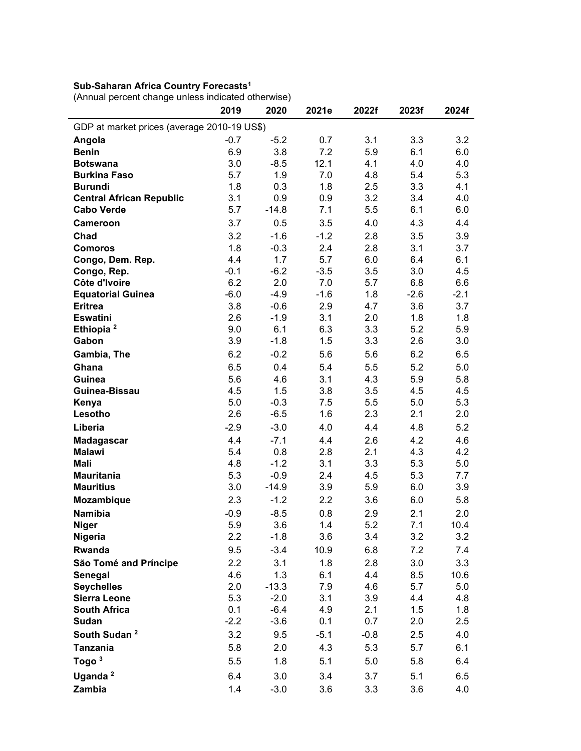## **Sub-Saharan Africa Country Forecasts1**

[\(Annual percent change unless indicated otherwise\)](https://thedocs.worldbank.org/en/doc/18ad707266f7740bced755498ae0307a-0350012022/related/GEP-June-2022-SSA-data.xlsx)

|                                             | 2019    | 2020    | 2021e  | 2022f  | 2023f  | 2024f  |  |  |  |  |
|---------------------------------------------|---------|---------|--------|--------|--------|--------|--|--|--|--|
| GDP at market prices (average 2010-19 US\$) |         |         |        |        |        |        |  |  |  |  |
| Angola                                      | $-0.7$  | $-5.2$  | 0.7    | 3.1    | 3.3    | 3.2    |  |  |  |  |
| <b>Benin</b>                                | 6.9     | 3.8     | 7.2    | 5.9    | 6.1    | 6.0    |  |  |  |  |
| <b>Botswana</b>                             | 3.0     | $-8.5$  | 12.1   | 4.1    | 4.0    | 4.0    |  |  |  |  |
| <b>Burkina Faso</b>                         | 5.7     | 1.9     | 7.0    | 4.8    | 5.4    | 5.3    |  |  |  |  |
| <b>Burundi</b>                              | 1.8     | 0.3     | 1.8    | 2.5    | 3.3    | 4.1    |  |  |  |  |
| <b>Central African Republic</b>             | 3.1     | 0.9     | 0.9    | 3.2    | 3.4    | 4.0    |  |  |  |  |
| <b>Cabo Verde</b>                           | 5.7     | $-14.8$ | 7.1    | 5.5    | 6.1    | 6.0    |  |  |  |  |
| Cameroon                                    | 3.7     | 0.5     | 3.5    | 4.0    | 4.3    | 4.4    |  |  |  |  |
| Chad                                        | 3.2     | $-1.6$  | $-1.2$ | 2.8    | 3.5    | 3.9    |  |  |  |  |
| <b>Comoros</b>                              | 1.8     | $-0.3$  | 2.4    | 2.8    | 3.1    | 3.7    |  |  |  |  |
| Congo, Dem. Rep.                            | 4.4     | 1.7     | 5.7    | 6.0    | 6.4    | 6.1    |  |  |  |  |
| Congo, Rep.                                 | $-0.1$  | $-6.2$  | $-3.5$ | 3.5    | 3.0    | 4.5    |  |  |  |  |
| Côte d'Ivoire                               | 6.2     | 2.0     | 7.0    | 5.7    | 6.8    | 6.6    |  |  |  |  |
| <b>Equatorial Guinea</b>                    | $-6.0$  | $-4.9$  | $-1.6$ | 1.8    | $-2.6$ | $-2.1$ |  |  |  |  |
| <b>Eritrea</b>                              | 3.8     | $-0.6$  | 2.9    | 4.7    | 3.6    | 3.7    |  |  |  |  |
| <b>Eswatini</b>                             | 2.6     | $-1.9$  | 3.1    | 2.0    | 1.8    | 1.8    |  |  |  |  |
| Ethiopia <sup>2</sup>                       | 9.0     | 6.1     | 6.3    | 3.3    | 5.2    | 5.9    |  |  |  |  |
| Gabon                                       | 3.9     | $-1.8$  | 1.5    | 3.3    | 2.6    | 3.0    |  |  |  |  |
| Gambia, The                                 | 6.2     | $-0.2$  | 5.6    | 5.6    | 6.2    | 6.5    |  |  |  |  |
| Ghana                                       | 6.5     | 0.4     | 5.4    | 5.5    | 5.2    | 5.0    |  |  |  |  |
| Guinea                                      | 5.6     | 4.6     | 3.1    | 4.3    | 5.9    | 5.8    |  |  |  |  |
| Guinea-Bissau                               | 4.5     | 1.5     | 3.8    | 3.5    | 4.5    | 4.5    |  |  |  |  |
| Kenya                                       | 5.0     | $-0.3$  | 7.5    | 5.5    | 5.0    | 5.3    |  |  |  |  |
| Lesotho                                     | 2.6     | $-6.5$  | 1.6    | 2.3    | 2.1    | 2.0    |  |  |  |  |
| Liberia                                     | $-2.9$  | $-3.0$  | 4.0    | 4.4    | 4.8    | 5.2    |  |  |  |  |
| Madagascar                                  | 4.4     | $-7.1$  | 4.4    | 2.6    | 4.2    | 4.6    |  |  |  |  |
| <b>Malawi</b>                               | 5.4     | 0.8     | 2.8    | 2.1    | 4.3    | 4.2    |  |  |  |  |
| <b>Mali</b>                                 | 4.8     | $-1.2$  | 3.1    | 3.3    | 5.3    | 5.0    |  |  |  |  |
| <b>Mauritania</b>                           | 5.3     | $-0.9$  | 2.4    | 4.5    | 5.3    | 7.7    |  |  |  |  |
| <b>Mauritius</b>                            | 3.0     | $-14.9$ | 3.9    | 5.9    | 6.0    | 3.9    |  |  |  |  |
| Mozambique                                  | 2.3     | $-1.2$  | 2.2    | 3.6    | 6.0    | 5.8    |  |  |  |  |
| <b>Namibia</b>                              | $-0.9$  | $-8.5$  | 0.8    | 2.9    | 2.1    | 2.0    |  |  |  |  |
| <b>Niger</b>                                | 5.9     | 3.6     | 1.4    | 5.2    | 7.1    | 10.4   |  |  |  |  |
| Nigeria                                     | $2.2\,$ | $-1.8$  | 3.6    | 3.4    | 3.2    | 3.2    |  |  |  |  |
| Rwanda                                      | 9.5     | $-3.4$  | 10.9   | 6.8    | 7.2    | 7.4    |  |  |  |  |
| São Tomé and Príncipe                       | 2.2     | 3.1     | 1.8    | 2.8    | 3.0    | 3.3    |  |  |  |  |
| Senegal                                     | 4.6     | 1.3     | 6.1    | 4.4    | 8.5    | 10.6   |  |  |  |  |
| <b>Seychelles</b>                           | 2.0     | $-13.3$ | 7.9    | 4.6    | 5.7    | 5.0    |  |  |  |  |
| <b>Sierra Leone</b>                         | 5.3     | $-2.0$  | 3.1    | 3.9    | 4.4    | 4.8    |  |  |  |  |
| <b>South Africa</b>                         | 0.1     | $-6.4$  | 4.9    | 2.1    | 1.5    | 1.8    |  |  |  |  |
| Sudan                                       | $-2.2$  | $-3.6$  | 0.1    | 0.7    | 2.0    | 2.5    |  |  |  |  |
| South Sudan <sup>2</sup>                    | 3.2     | 9.5     | $-5.1$ | $-0.8$ | 2.5    | 4.0    |  |  |  |  |
| <b>Tanzania</b>                             | 5.8     | 2.0     | 4.3    | 5.3    | 5.7    | 6.1    |  |  |  |  |
| Togo $3$                                    | 5.5     | 1.8     | 5.1    | 5.0    | 5.8    | 6.4    |  |  |  |  |
| Uganda <sup>2</sup>                         | 6.4     | 3.0     | 3.4    | 3.7    | 5.1    | 6.5    |  |  |  |  |
| Zambia                                      | 1.4     | $-3.0$  | 3.6    | 3.3    | 3.6    | 4.0    |  |  |  |  |